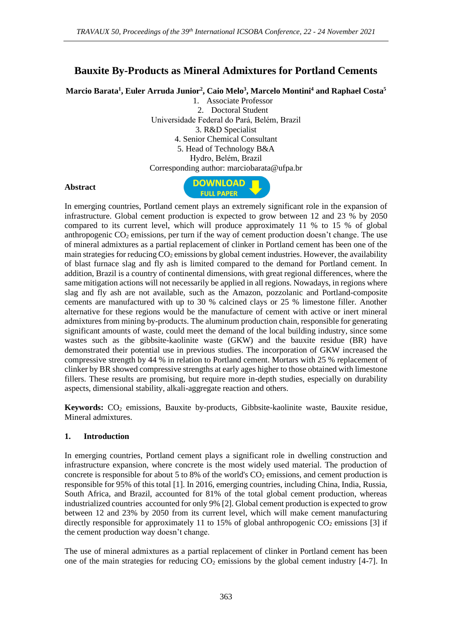# **Bauxite By-Products as Mineral Admixtures for Portland Cements**

**Marcio Barata<sup>1</sup> , Euler Arruda Junior<sup>2</sup> , Caio Melo<sup>3</sup> , Marcelo Montini<sup>4</sup> and Raphael Costa<sup>5</sup>**

1. Associate Professor 2. Doctoral Student Universidade Federal do Pará, Belém, Brazil 3. R&D Specialist 4. Senior Chemical Consultant 5. Head of Technology B&A Hydro, Belém, Brazil Corresponding author: [marciobarata@ufpa.br](mailto:marciobarata@ufpa.br)

#### **Abstract**



In emerging countries, Portland cement plays an extremely significant role in the expansion of infrastructure. Global cement production is expected to grow between 12 and 23 % by 2050 compared to its current level, which will produce approximately 11 % to 15 % of global anthropogenic  $CO_2$  emissions, per turn if the way of cement production doesn't change. The use of mineral admixtures as a partial replacement of clinker in Portland cement has been one of the main strategies for reducing  $CO<sub>2</sub>$  emissions by global cement industries. However, the availability of blast furnace slag and fly ash is limited compared to the demand for Portland cement. In addition, Brazil is a country of continental dimensions, with great regional differences, where the same mitigation actions will not necessarily be applied in all regions. Nowadays, in regions where slag and fly ash are not available, such as the Amazon, pozzolanic and Portland-composite cements are manufactured with up to 30 % calcined clays or 25 % limestone filler. Another alternative for these regions would be the manufacture of cement with active or inert mineral admixtures from mining by-products. The aluminum production chain, responsible for generating significant amounts of waste, could meet the demand of the local building industry, since some wastes such as the gibbsite-kaolinite waste (GKW) and the bauxite residue (BR) have demonstrated their potential use in previous studies. The incorporation of GKW increased the compressive strength by 44 % in relation to Portland cement. Mortars with 25 % replacement of clinker by BR showed compressive strengths at early ages higher to those obtained with limestone fillers. These results are promising, but require more in-depth studies, especially on durability aspects, dimensional stability, alkali-aggregate reaction and others.

**Keywords:** CO<sub>2</sub> emissions, Bauxite by-products, Gibbsite-kaolinite waste, Bauxite residue, Mineral admixtures.

#### **1. Introduction**

In emerging countries, Portland cement plays a significant role in dwelling construction and infrastructure expansion, where concrete is the most widely used material. The production of concrete is responsible for about 5 to 8% of the world's  $CO<sub>2</sub>$  emissions, and cement production is responsible for 95% of this total [1]. In 2016, emerging countries, including China, India, Russia, South Africa, and Brazil, accounted for 81% of the total global cement production, whereas industrialized countries accounted for only 9% [2]. Global cement production is expected to grow between 12 and 23% by 2050 from its current level, which will make cement manufacturing directly responsible for approximately 11 to 15% of global anthropogenic  $CO_2$  emissions [3] if the cement production way doesn't change.

The use of mineral admixtures as a partial replacement of clinker in Portland cement has been one of the main strategies for reducing  $CO<sub>2</sub>$  emissions by the global cement industry [4-7]. In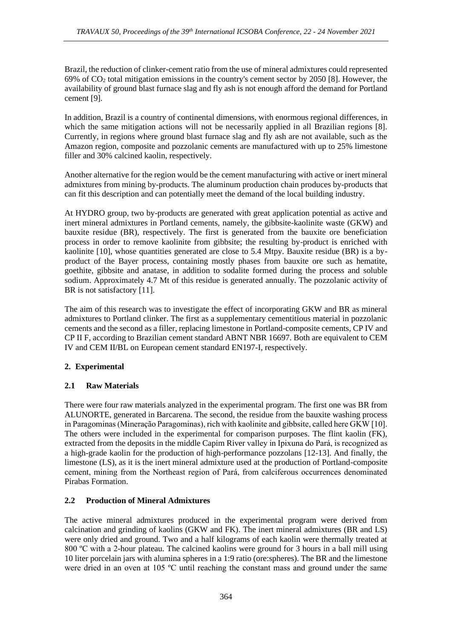Brazil, the reduction of clinker-cement ratio from the use of mineral admixtures could represented 69% of  $CO<sub>2</sub>$  total mitigation emissions in the country's cement sector by 2050 [8]. However, the availability of ground blast furnace slag and fly ash is not enough afford the demand for Portland cement [9].

In addition, Brazil is a country of continental dimensions, with enormous regional differences, in which the same mitigation actions will not be necessarily applied in all Brazilian regions [8]. Currently, in regions where ground blast furnace slag and fly ash are not available, such as the Amazon region, composite and pozzolanic cements are manufactured with up to 25% limestone filler and 30% calcined kaolin, respectively.

Another alternative for the region would be the cement manufacturing with active or inert mineral admixtures from mining by-products. The aluminum production chain produces by-products that can fit this description and can potentially meet the demand of the local building industry.

At HYDRO group, two by-products are generated with great application potential as active and inert mineral admixtures in Portland cements, namely, the gibbsite-kaolinite waste (GKW) and bauxite residue (BR), respectively. The first is generated from the bauxite ore beneficiation process in order to remove kaolinite from gibbsite; the resulting by-product is enriched with kaolinite [10], whose quantities generated are close to 5.4 Mtpy. Bauxite residue (BR) is a byproduct of the Bayer process, containing mostly phases from bauxite ore such as hematite, goethite, gibbsite and anatase, in addition to sodalite formed during the process and soluble sodium. Approximately 4.7 Mt of this residue is generated annually. The pozzolanic activity of BR is not satisfactory [11].

The aim of this research was to investigate the effect of incorporating GKW and BR as mineral admixtures to Portland clinker. The first as a supplementary cementitious material in pozzolanic cements and the second as a filler, replacing limestone in Portland-composite cements, CP IV and CP II F, according to Brazilian cement standard ABNT NBR 16697. Both are equivalent to CEM IV and CEM II/BL on European cement standard EN197-I, respectively.

## **2. Experimental**

## **2.1 Raw Materials**

There were four raw materials analyzed in the experimental program. The first one was BR from ALUNORTE, generated in Barcarena. The second, the residue from the bauxite washing process in Paragominas (Mineração Paragominas), rich with kaolinite and gibbsite, called here GKW [10]. The others were included in the experimental for comparison purposes. The flint kaolin (FK), extracted from the deposits in the middle Capim River valley in Ipixuna do Pará, is recognized as a high-grade kaolin for the production of high-performance pozzolans [12-13]. And finally, the limestone (LS), as it is the inert mineral admixture used at the production of Portland-composite cement, mining from the Northeast region of Pará, from calciferous occurrences denominated Pirabas Formation.

## **2.2 Production of Mineral Admixtures**

The active mineral admixtures produced in the experimental program were derived from calcination and grinding of kaolins (GKW and FK). The inert mineral admixtures (BR and LS) were only dried and ground. Two and a half kilograms of each kaolin were thermally treated at 800 ºC with a 2-hour plateau. The calcined kaolins were ground for 3 hours in a ball mill using 10 liter porcelain jars with alumina spheres in a 1:9 ratio (ore:spheres). The BR and the limestone were dried in an oven at 105 ºC until reaching the constant mass and ground under the same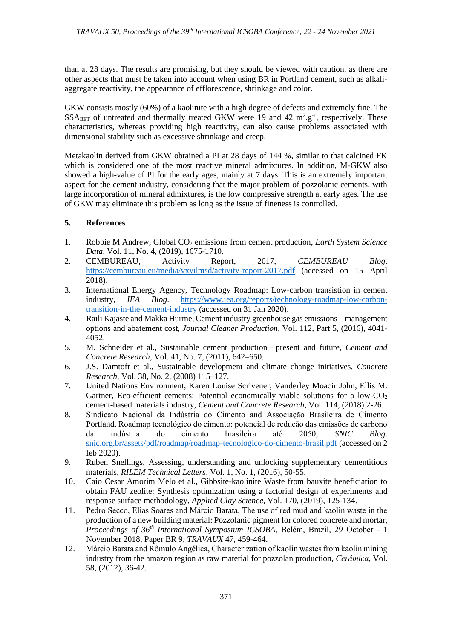than at 28 days. The results are promising, but they should be viewed with caution, as there are other aspects that must be taken into account when using BR in Portland cement, such as alkaliaggregate reactivity, the appearance of efflorescence, shrinkage and color.

GKW consists mostly (60%) of a kaolinite with a high degree of defects and extremely fine. The  $SSA<sub>BET</sub>$  of untreated and thermally treated GKW were 19 and 42  $m^2.g^{-1}$ , respectively. These characteristics, whereas providing high reactivity, can also cause problems associated with dimensional stability such as excessive shrinkage and creep.

Metakaolin derived from GKW obtained a PI at 28 days of 144 %, similar to that calcined FK which is considered one of the most reactive mineral admixtures. In addition, M-GKW also showed a high-value of PI for the early ages, mainly at 7 days. This is an extremely important aspect for the cement industry, considering that the major problem of pozzolanic cements, with large incorporation of mineral admixtures, is the low compressive strength at early ages. The use of GKW may eliminate this problem as long as the issue of fineness is controlled.

#### **5. References**

- 1. Robbie M Andrew, Global CO<sup>2</sup> emissions from cement production, *Earth System Science Data,* Vol. 11, No. 4, (2019), 1675-1710.
- 2. CEMBUREAU, Activity Report, 2017, *CEMBUREAU Blog*. <https://cembureau.eu/media/vxyilmsd/activity-report-2017.pdf> (accessed on 15 April 2018).
- 3. International Energy Agency, Tecnnology Roadmap: Low-carbon transistion in cement industry, *IEA Blog*. [https://www.iea.org/reports/technology-roadmap-low-carbon](https://www.iea.org/reports/technology-roadmap-low-carbon-transition-in-the-cement-industry)[transition-in-the-cement-industry](https://www.iea.org/reports/technology-roadmap-low-carbon-transition-in-the-cement-industry) (accessed on 31 Jan 2020).
- 4. Raili Kajaste and Makka Hurme, Cement industry greenhouse gas emissions management options and abatement cost, *Journal Cleaner Production*, Vol. 112, Part 5, (2016), 4041- 4052.
- 5. M. Schneider et al., Sustainable cement production—present and future, *Cement and Concrete Research,* Vol. 41, No. 7, (2011), 642–650.
- 6. J.S. Damtoft et al., Sustainable development and climate change initiatives, *Concrete Research*, Vol. 38, No. 2, (2008) 115–127.
- 7. United Nations Environment, Karen Louise Scrivener, Vanderley Moacir John, Ellis M. Gartner, Eco-efficient cements: Potential economically viable solutions for a low- $CO<sub>2</sub>$ cement-based materials industry, *Cement and Concrete Research*, Vol. 114, (2018) 2-26.
- 8. Sindicato Nacional da Indústria do Cimento and Associação Brasileira de Cimento Portland, Roadmap tecnológico do cimento: potencial de redução das emissões de carbono da indústria do cimento brasileira até 2050, *SNIC Blog*. [snic.org.br/assets/pdf/roadmap/roadmap-tecnologico-do-cimento-brasil.pdf](http://snic.org.br/assets/pdf/roadmap/roadmap-tecnologico-do-cimento-brasil.pdf) (accessed on 2 feb 2020).
- 9. Ruben Snellings, Assessing, understanding and unlocking supplementary cementitious materials, *RILEM Technical Letters*, Vol. 1, No. 1, (2016), 50-55.
- 10. Caio Cesar Amorim Melo et al., Gibbsite-kaolinite Waste from bauxite beneficiation to obtain FAU zeolite: Synthesis optimization using a factorial design of experiments and response surface methodology, *Applied Clay Science*, Vol. 170, (2019), 125-134.
- 11. Pedro Secco, Elias Soares and Márcio Barata, The use of red mud and kaolin waste in the production of a new building material: Pozzolanic pigment for colored concrete and mortar, *Proceedings of 36th International Symposium ICSOBA*, Belém, Brazil, 29 October - 1 November 2018, Paper BR 9, *TRAVAUX* 47, 459-464.
- 12. Márcio Barata and Rômulo Angélica, Characterization of kaolin wastes from kaolin mining industry from the amazon region as raw material for pozzolan production, *Cerâmica*, Vol. 58, (2012), 36-42.